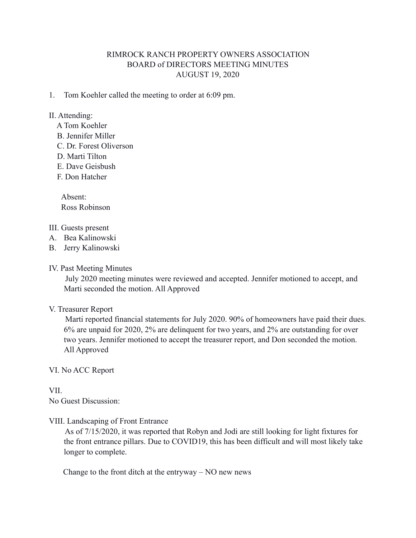# RIMROCK RANCH PROPERTY OWNERS ASSOCIATION BOARD of DIRECTORS MEETING MINUTES AUGUST 19, 2020

1. Tom Koehler called the meeting to order at 6:09 pm.

## II. Attending:

- A Tom Koehler
- B. Jennifer Miller
- C. Dr. Forest Oliverson
- D. Marti Tilton
- E. Dave Geisbush
- F. Don Hatcher

 Absent: Ross Robinson

### III. Guests present

- A. Bea Kalinowski
- B. Jerry Kalinowski
- IV. Past Meeting Minutes

 July 2020 meeting minutes were reviewed and accepted. Jennifer motioned to accept, and Marti seconded the motion. All Approved

#### V. Treasurer Report

 Marti reported financial statements for July 2020. 90% of homeowners have paid their dues. 6% are unpaid for 2020, 2% are delinquent for two years, and 2% are outstanding for over two years. Jennifer motioned to accept the treasurer report, and Don seconded the motion. All Approved

# VI. No ACC Report

VII. No Guest Discussion:

# VIII. Landscaping of Front Entrance

 As of 7/15/2020, it was reported that Robyn and Jodi are still looking for light fixtures for the front entrance pillars. Due to COVID19, this has been difficult and will most likely take longer to complete.

Change to the front ditch at the entryway – NO new news